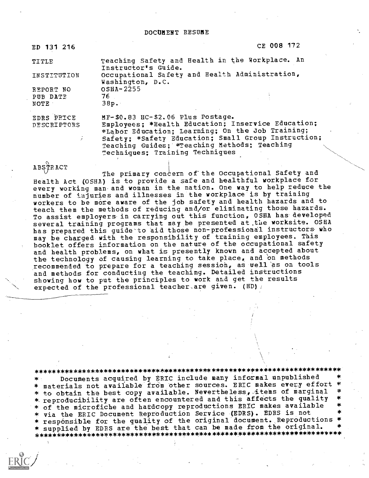Instructor's Guide.

Washington, D.C.

OSHA-2255

76

ED 131 216

CE 008 172

TITLE

INSTITUTION

REPORT NO PUB DATE NOTE

EDRS PRICE **DESCRIPTORS** 

 $38p.$ MF-\$0.83 HC-\$2.06 Plus Postage. Employees; \*Health Education; Inservice Education; \*Labor Education; Learning; On the Job Training; Safety; \*Safety Education; Small Group Instruction; Teaching Guides; \*Teaching Methods; Teaching Techniques; Training Techniques

Teaching Safety and Health in the Workplace. An

Occupational Safety and Health Administration,

ABSTRACT

The primary concern of the Occupational Safety and Health Act (OSHA) is to provide a safe and healthful workplace for every working man and woman in the nation. One way to help reduce the number of injuries and illnesses in the workplace is by training workers to be more aware of the job safety and health hazards and to teach them the methods of reducing and/or eliminating those hazards. To assist employers in carrying out this function, OSHA has developed several training programs that may be presented at the worksite. OSHA has prepared this quide to aid those non-professional instructors who may be charged with the responsibility of training employees. This booklet offers information on the nature of the occupational safety and health problems, on what is presently known and accepted about the technology of causing learning to take place, and on methods recommended to prepare for a teaching session, as well as on tools and methods for conducting the teaching. Detailed instructions showing how to put the principles to work and get the results expected of the professional teacher are given. (HD) /

Documents acquired by ERIC include many informal unpublished \* materials not available from other sources. ERIC makes every effort \* to obtain the best copy available. Nevertheless, items of marginal \* reproducibility are often encountered and this affects the quality \* of the microfiche and hardcopy reproductions ERIC makes available \* via the ERIC Document Reproduction Service (EDRS). EDRS is not \* responsible for the quality of the original document. Reproductions \* \* supplied by EDRS are the best that can be made from the original.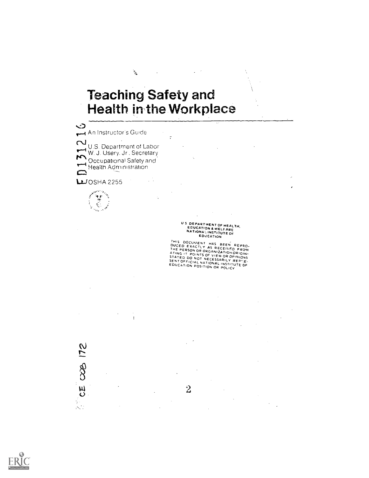## **Teaching Safety and Health in the Workplace**

 $\mathbf{r}_\mathrm{a}$ 

 $\mathbf{r}$ 

CE COB 172

ý.<br>Ni

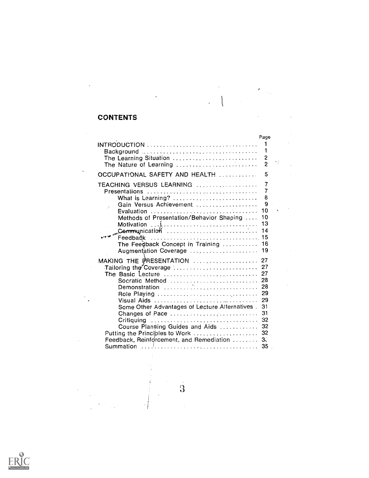## **CONTENTS**

 $\ddot{\phantom{0}}$ 

 $\frac{1}{2}$ 

 $\bar{\zeta}$ 

 $\frac{1}{\sqrt{2}}$ 

 $\bar{\bar{z}}$ 

 $\frac{1}{2}$ 

 $\bar{\beta}$ 

|                                                                                        | Page           |  |
|----------------------------------------------------------------------------------------|----------------|--|
| The Learning Situation                                                                 | 1<br>2         |  |
| The Nature of Learning $\ldots$ , $\ldots$ , $\ldots$ , $\ldots$ , $\ldots$ , $\ldots$ | $\overline{c}$ |  |
| OCCUPATIONAL SAFETY AND HEALTH                                                         | 5              |  |
| TEACHING VERSUS LEARNING                                                               | 7              |  |
| Presentations                                                                          | 7              |  |
| What is Learning?                                                                      | 8              |  |
| Gain Versus Achievement                                                                | 9              |  |
|                                                                                        | 10             |  |
| Methods of Presentation/Behavior Shaping                                               | 10             |  |
| Motivation $\ldots, \lambda, \ldots, \ldots, \ldots, \ldots, \ldots, \ldots, \ldots$   | 13             |  |
| Communication                                                                          | 14             |  |
| Feedback                                                                               | 15             |  |
| The Feedback Concept in Training                                                       | 16             |  |
| Augmentation Coverage                                                                  | 19             |  |
|                                                                                        |                |  |
| MAKING THE PRESENTATION  27                                                            |                |  |
| Tailoring the Coverage  27                                                             | 27             |  |
| The Basic Lecture $\ldots, \ldots, \ldots, \ldots, \ldots, \ldots, \ldots$             | 28             |  |
| Socratic Method                                                                        | 28             |  |
| Demonstration                                                                          | 29             |  |
| Role Playing $\ldots \ldots \ldots \ldots \ldots \ldots \ldots \ldots \ldots$          |                |  |
| Visual Aids                                                                            | 29             |  |
| Some Other Advantages of Lecture Alternatives.                                         | 31             |  |
| Changes of Pace                                                                        | 31             |  |
| Critiquing                                                                             | 32             |  |
| Course Planning Guides and Aids                                                        | 32             |  |
| Putting the Principles to Work  32                                                     |                |  |
| Feedback, Reinforcement, and Remediation  33                                           |                |  |
|                                                                                        | 35             |  |

 $\mathcal{L}$  $\frac{1}{2}$ 

 $\ddot{3}$ 

 $\frac{1}{2}$ 

 $\frac{1}{2}$ 

 $\ddot{\phantom{0}}$ 

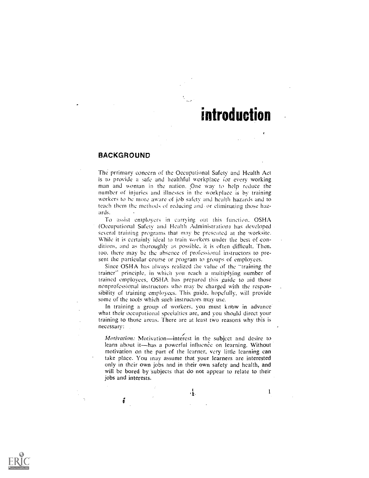## introduction

#### BACKGROUND

í

The prrimary concern of the Occupational Safety and Health Act is to provide a safe and healthful workplace for every working man and woman in the nation. One way to help reduce the number of injuries and illnesses in the workplace is by training workers to be more aware of job safety and health hazards and to teach them the methods of reducing and or eliminating those hazards.

To assist employers in carrying out this function. OSHA (Occupational Safety and Health Administration) has developed several training programs that may be presented at the worksite. While it is certainly ideal to train workers under the best of conditions. and as thoroughly as possible. it is often difficult. Then. too, there may be the absence of professional instructors to present the particular course or program to groups of employees.

Since OSHA has always realized the value of the "training the trainer" principle, in which you reach a multiplying number of trained employees. OSHA has prepared this guide to aid those nonprofessional instructors who may be charged with the responsibility of training employees. This guide, hopefully, will provide some of the tools which such instructors may use.

In training a group of workers, you must know in advance what their occupational specialties are, and you should direct your training to those areas. There are at least two reasons why this is necessary: .

Motivation: Motivation-interest in the subject and desire to learn about it-has a powerful influence on learning. Without motivation on the part of the learner, very little learning can take place. You may assume that your learners are interested only in their own jobs and in their own safety and health, and will be bored by subjects that do not appear to relate to their jobs and interests.

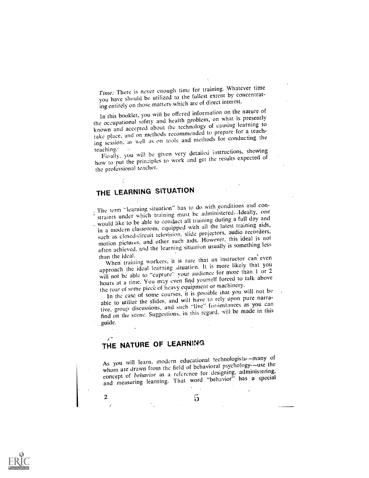Time: There is never enough time for training. Whatever time you have should be utilized to the fullest extent by concentrating entirely on those matters which are of direct interest.

In this booklet, you wiii be offered information on the nature of the occupational safety and health problem, on what is presently known and accepted about the technology of causing learning to take place, and on methods recommended to prepare for a teaching session, as well as on tools and methods for conducting the

teaching. Finally, you will be given very detailed instructions, showing how to put the principles to work and get the results expected of the professional teacher.

## THE LEARNING SITUATION

The term "learning situation" has to do with eonditions and constraints under which training must be administered. Ideally, one \_ would like to be able to conduct all training during a full day and in a modern classroom, equipped with all the latest training aids, such as closed-circuit television, slide projectors. audio recorders, motion pictures, and other such aids. However, this ideal is not often achieved, and the learning situation usually is something less than the ideal.

than the ideal.<br>When' training workers, it is rare that an instructor can even<br>that we had the more likely that you approach the ideal learning situation. It is more likely that you will not be able to "capture" your audience for more than 1 or 2 hours at a time. You may even find yourself forced to talk above the roar of some piece of heavy equipment or machinery.

In the case of some courses, it is possible that you will not be able to utilize the slides, and will have to rely upon pure narrative, group discussions, and such "live" for-instances as yoti can find on the scene. Suggestions, in this regard, will be made in this guide.

## THE NATURE OF LEARNING

2

As you will learn, modern educational technologists--many of whom are drawn from the field of behavioral psychology--use the concept of behavior as a reference for designing, administering, and measuring learning. That word "behavior" has a special

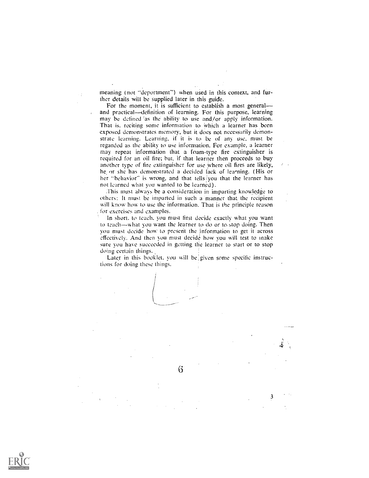meaning (not "deportment") when used in this context, and further details will be supplied later in this guide.

 $\bar{\mathcal{L}}$  .

For the moment, it is sufficient to establish a most generaland practical--definition of learning. For this purpose, learning may be defined 'as the ability to use and/or apply information. That is, reciting some information to which a learner has been exposed demonstrates memory, but it does not necessarily demonstrate learning. Learning, if it is to be of any use, must be regarded as the ability to use information. For example, a learner may repeat information that a foam-type fire extinguisher is required for an oil fire; but. if that learner then proceeds to buy another type of fire extinguisher for use where oil fires are likely, he or she has demonstrated a decided lack of learning. (His or her "behavior" is wrong, and that tells you that the learner has not learned what you wanted to be learned).

This must always be a consideration in imparting knowledge to others: It must be imparted in such a:manner that the recipient will know how to use the information. That is the principle reason . for exercises and examples.

In short. to teach. you must first decide exactly what you want to teach—what you want the learner to do or to stop doing. Then you must decide how to present the information to get it across effectively. And then you must decide how you will test to make sure you have succeeded in getting the learner to start or to stop doing certain things..

Later in this booklet, you will be given some specific instructions for doing these things.

 $\rm 6$ 

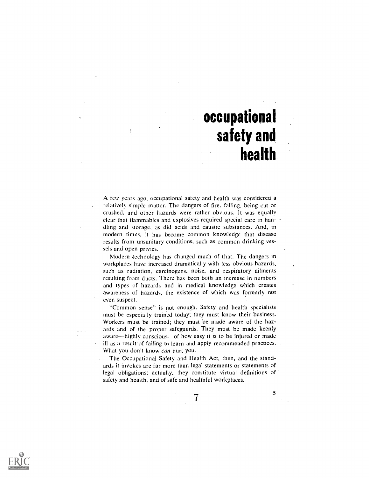# occupational safety and health

A few years ago, occupational safety and health was considered a relatively simple matter. The dangers of fire, falling, being cut or crushed, and other hazards were rather obvious. It was equally clear that flammables and explosives required special care in handling and storage, as did acids and caustic substances. And, in modern times, it has become common knowledge that disease results from unsanitary conditions, such as common drinking vessels and open privies.

Modern technology has changed much of that. The dangers in workplaces have increased dramatically with less obvious hazards, such as radiation, carcinogens, noise, and respiratory ailments resulting from ducts. There has been both an increase in numbers and types of hazards and in medical knowledge which creates awareness of hazards, the existence of which was formerly not even suspect.

"Common sense" is not enough. Safety and health specialists must be especially trained today; they must know their business. Workers must be trained; they must be made aware of the hazards and of the proper safeguards. They must be made keenly aware—highly conscious—of how easy it is to be injured or made ill as a result of failing to learn and apply recommended practices. What you don't know can hurt you.

The Occupational Safety and Health Act, then, and the standards it invokes are far more than legal statements or statements of legal obligations; actually, they constitute virtual definitions of safety and health, and of safe and healthful workplaces.



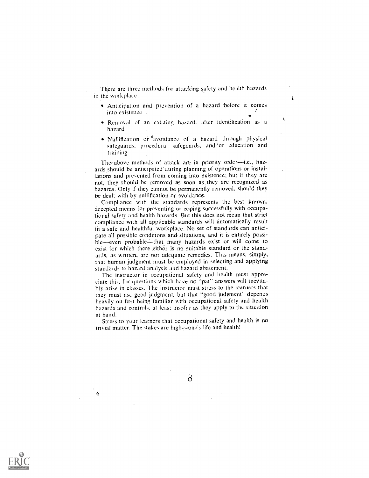There are three methods for attaeking safety and health hazards in the workplace:

Anticipation and prevention of a hazard -before it comes into existence \_  $\bullet$ 

ì

- Removal of an existing hazard, after identification as a hazard
- Nullification or  $\epsilon$  avoidance of a hazard through physical safeguards. procedural safeguards, and/or education and training

The above methods of attack are in priority order—i.e., hazards should be anticipated'during planning of operations or installations and prevented from coming into existence; but if they are not, they should be removed as soon as, they are recognized as hazards. Only if they cannot be permanently removed, should they be dealt with by nullification or avoidance.

Compliance with the standards represents the best known, accepted means for preventing or coping successfully with occupational safety and health hazards. But this does not mean that strict compliance with all applicable standards will automatically result in a safe and healthful workplace. No set of standards can anticipate all possible conditions and situations, and it is entirely possible--even probable--that many hazards exist or will come to exist for which there either is no suitable standard or the standards, as written, are not adequate remedies. This means, simply, that human judgment must be employed in selecting and applying standards to hazard analysis and hazard abatement.

The instructor in occupational safety and health must appreciate this, for questions which have no "pat" answers will inevitably arise in classes. The instructor must stress to the learners that they must usc good judgment, but that "good judgment" depends heavily on first being familiar with occupational safety and health hazards and controls, at least insofar as they apply to the situation at hand.

Stress to your learners that occupational safety and health is no trivial matter. The stakes are high $\sim$ one's life and health!



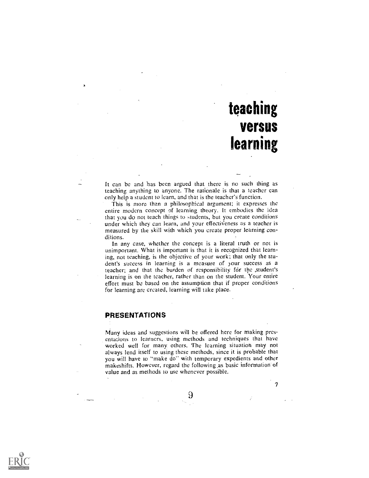# teaching versus learning

 $\overline{7}$ 

It can be and has been argued that there is no such thing as teaching anything to anyone. The rationale is that a teacher can only help 'a student to learn, and that is the teacher's function.

This is more than a philosophical argument; it expresses the entire modern concept of learning theory. It embodies the idea that you do not teach things to students, but you create conditions under which they can learn, and your effectiveness as a teacher is measured by the skill with which you create proper learning conditions.

In any case, whether the concept is a literal truth or not is unimportant. What is important is that it is recognized that learning, not teaching, is the objective of your work; that only the student's success in learning is a measure of your success as a teacher; and that the burden of responsibility for the student's learning is on the teacher, rather than on the student. Your entire effort must be based on the assumption that if proper conditions for learning are created, learning will take place.

#### PRESENTATIONS

Many ideas and suggestions will be offered here for making presentations to learners, using methods and techniques that have worked well for many others. The learning situation may not always lend itself to using these methods, since it is probable that you will have to "make do" with temporary expedients and other makeshifts. However, regard the following\_as basic information of value and as methods to use whenever possible.



 $\Theta$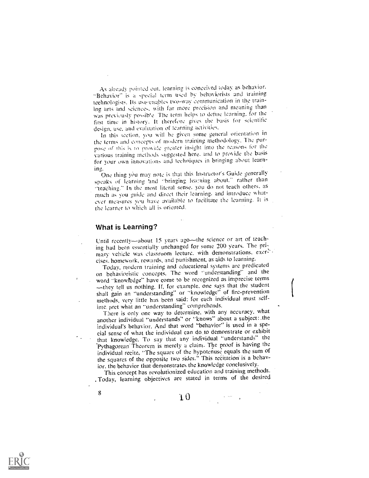As aheady pointed out. learning is conceived ioday as behavior. -Behavior" is it special term used by behaviorists and training technologists. Its ase-enables two-way communication in the training arts and science:. with far more precision and meanine than was previously possib'e The term helps to define learning, for the first time in history. It therefore gives the basis for scientific design, use, and evaluation of learning activities.

In this section. you will be given some eeneral orientation in the terms and concepts of modern training methodology. The purpose of this is to provide greater insight into the reasons for the various training methods suggested here, and to provide the basis for your own innovations and techniques in bringing about learn-

ing.<br>One thing you may note is that this Instructor's Guide generally speaks of learning 'and "bringing learning about." rather than "teaehing." In the most literal sense. you do not teach others. as much as you guide and direct their learning, and introduce whatever measures you have available to facilitate the learnine. It is the learner to which all is oriented.

#### What is Learning?

8

Until recently-about 15 years ago-the science or art of teaching had been essentially unchanged for some 200 years. The primary vehicle was classroom lecture, with demonstrations, exercises. homework, rewards, and punishment, as aids to learning.

Today, modern training and educational systems are predicated on behavioristic concepts. The word "understanding" and the word "knowfedge" have come to be recognized as imprecise terms -they tell us nothing. If, for example, one says that the student shall gain an "understanding" or "knowledge" of fire-prevention methods, very little has been said: for each individual must selfinte: pret what an "understanding" comprehends.

There is only one way to determine, with any accuracy, what another individual "understands" or "knows" about a subject: .the individual's behavior. And that word "behavior' is used in a special sense of what the individual can do,to demonstrate or exhibit .that knowledge. To say that any individual "understands" the Pythagorean-Theorem is merely a claim. The proof is having the individual recite, "The square of the hypotenuse equals the sum of the squares of the opposite two sides." This recitation is a behavior, the behavior that demonstrates the knowledge conclusively.

This concept has revolutionized education and training methods. , Today, learning objectives are stated in terms of the desired

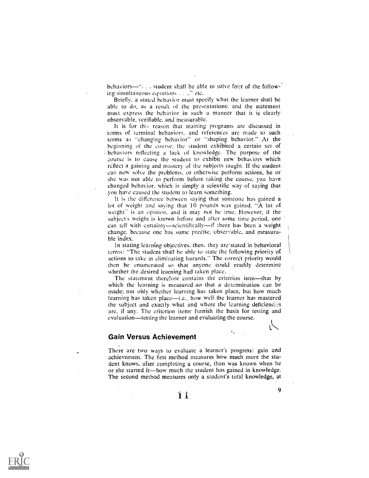behaviors-"... student shall be able to solve four of the following simultaneous equations  $\ldots$   $\ldots$  etc,

Briefly, a stated behavior must specify what the learner shali be able to do, as a result of the presentations: and the statement must express the behavior in such a manner that it is clearly observable, verifiable, and measurable.

It is for this reason that training programs are discussed in terms of terminal behaviors. and references are made to such terms as "changing behavior" or "shaping behavior." At the beginning of the course, the student exhibited a certain set of behaviors reflecting a lack of knowledge. The purpose of the eourse is to cause the student to exhibit new behaviors which rclieet a gaining and mastery of the subjects taught. If the student can now solve the problems, or otherwise perform actions, he or she was not able to perform before taking the course, you have changed behavior, which is simply a scientific way of saving that you have caused the student to learn something.

It is the difference between saying that someone has gained a lot of weight and saving that 10 pounds was gained. "A lot of weight" is an opinion, and it may not be true. However, if the subject's weight is known before and after some time period, one can tell with certainty-scientifically-if there has been a weight change. because one has some precise, observable, and measurable index.

In stating learning objectives, then. they are-stated in behavioral terms: "The student shall be able to state the following priority of actions to take in eliminating hazards." The correct priority would then be enumerated so that anyone could readily determine whether the desired learning had taken place.

The statement therefore contains the criterion item-that by which the learning is measured so that a determination can be made; not only whether learning has taken place, but how much learning has taken place—i.e., how well the learner has mastered the subject and exactly what and where the learning deficienei.:s are, if any. The criterion items furnish the basis for testing and evaluation—testing the learner and evaluating the course.

#### Gain Versus Achievement

There are two ways to evaluate a learner's progress: gain and achievement. The first method measures how much more the student knows, after completing a course, than was known when he or she started it—how much the student has gained in knowledge. The second method measures only a student's total knowledge, at

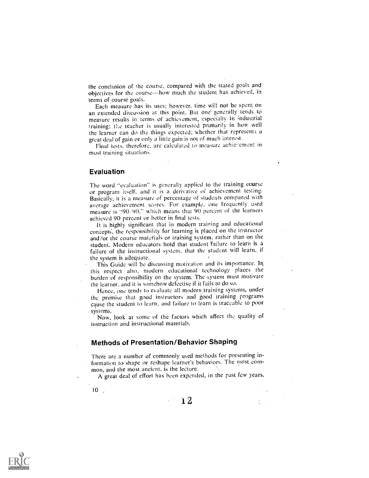the conclusion of the course, compared with the stated goals and objectives for the course-how much the student has achieved, in terms of course goals.

Each measure has its uses; however, time will not be spent on an extended discussion at this point. But one generally tends to measure results in terms of achievement, especially in industrial training: the teacher is usually interested primarily in how well the learner can do the things expected; whether that represents a great deal of gain or only a little gain is not of much interest.

Final tests, therefore, are calculated to measure achievement in most training situations.

#### Evaluation

The word "evaluation" is generally applied to the training course or program itself, and it is a derivative of achievement testing. Basically, it is a measure of percentage of students compared with average achievement scores. For example, one frequently used measure is "90/90," which means that 90 percent of the learners achieved 90 percent or better in final tests.

It is highly significant that in modern training and educational concepts, the responsibility for learning is placed on the instructor and/or the course materials or training system, rather than on the student. Modern educators hold that student failure to learn is a failure of the instructional system, that the student will learn, if

the system is adequate. I I I I This Guide will be discussing motivation and its importance. In this respect also, modern educational technology places the burden of responsibility on the system. The system must motivate the learner, and it is somehow defective if it fails to do so.

Hence, one tends to evaluate all modern.training systems, under the premise that good instructors and good training programs cause the student to learn, and failure to learn is traceable to poor

systems. Now, look at some of the factors which affect the quality of instruction and instructional materials.

#### Methods of Presentation/Behavior Shaping

There are a number of commonly used methods for presenting information to shape or reshape learner's behaviors. The most common; and the most ancient, is the lecture.

A great deal of effort has been expended, in the past few years,

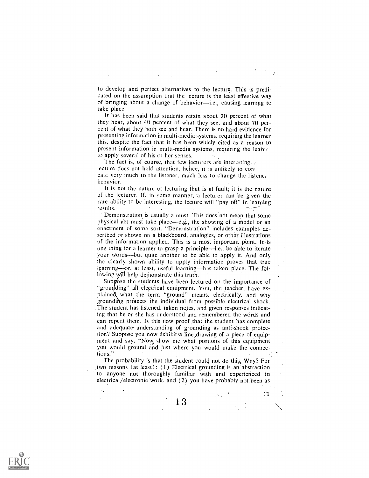to develop and perfect alternatives to the lecture. This is predicated on thc assumption that thc lecture is the least effective way of bringing about a change of behavior-i.e., causing learning to take place.

It has been said that students rctain about 20 percent of what thcy hear, about 40 percent of what thcy see, and about 70 percent of what they both see and hear. Thcrc is no hard evidence for presenting information in multi-media systems, requiring the learner this, despite the fact that it has becn widely cited as a reason to present information in multi-media systems, requiring the learne to apply several of his or her senses.

The fact is, of course, that few lecturers are interesting.  $\lambda$ lecture does not hold attention, hence, it is unlikely to concate very much to the listener, much less to change the listenc. .behavior.

It is not the nature of lecturing that is at fault; it is the nature of the lecturer. If, in some manner, a lecturer can be given the rare ability to be interesting, the lecture will "pay off" in learningresults.

Demonstration is usually a must. This does not mean that some physical act must take place—e.g., the showing of a model or an enactment of some sort. "Demonstration" includes examples described or shown on a blackboard, analogies, or other illustrations of the information applied. This is a most important point. It is one thing for a learner to grasp a principle—i.e., be able to iterate your words—but quite another to be able to apply it. And only the clearly shown ability to apply information proves that true learning-or, at least, useful learning-has taken place. The following yill help demonstrate this truth.

Suppose the students have been lectured on the importance of "grounding" all electrical equipment. You, the teacher, have explained what the term "ground" means, electrically, and why grounding protects the individual from possible electrical shock. Thc student has listened, taken notes, and given responses indicating that hc or she has understood and remembered thc wotds and can repeat them. Is this now proof that the student has complete and adequate, understanding of grounding as anti-shock protection? Suppose you now exhibit a line drawing of a piece of equipment and say, "Now show me what portions of this equipment you would ground and just where you would make the connections.'

The probability is that the student could not do this. Why? For two reasons (at least):  $(1)$  Electrical grounding is an abstraction to anyone not thoroughly familiar with and experienced in electrical/electronic work. and (2) you have probably not been as

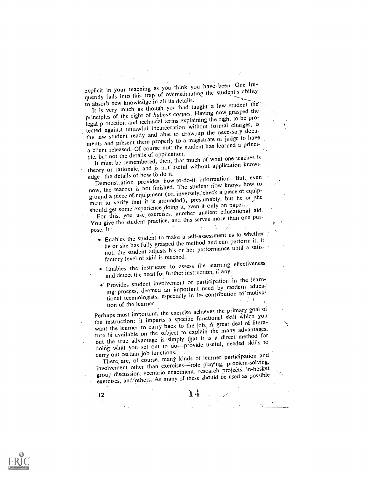explicit in your teaching as you think you have been. One frequently falls into this trap of overestimating the student's ability to absorb new knowleage in all its details.

It is very much as though you had taught a law student the' principles of the right of habeas corpus. Having now grasped the legal protection and technical terms explaining the right to be protected against unlawful incarceration without formal charges, is the law student ready and able to draw. up the necessary documents and present them properly to a magistrate or judge to have a client released. Of course not; the student has learned a principle, but not the details of application.

It must be remembered, then, that much of what one teaches is theory or rationale, and is not useful without application knowledge: the details of how to do it.

Demonstration provides how-to-do-it information. But, even now, the teacher is not finished. The student riow knows how to ground a piece of equipment (or, inversely, check a piece of equipment to verify that it is grounded), presumably, but he or she should get some experience doing it, even if only on paper.

For this, you use exercises, another ancient educational aid. You give the student practice, and this serves more than one purpose. It:

Enables the student to make a self-assessment as to whether

- he or she has fully grasped the method and can perform it: If not, the student adjusts his or her performance until a satisfactory level of skill is reached.
- Enables the instructor to assess the learning effectiveness and detect the need for further instruction, if any.
- Provides student involvement or participation in the learning process, deemed an important need by modern educational technologists, especially in its contribution to motivation of the learner.

Perhaps most important, the'exercise achieves the primary goal of the instruction: it imparts a specific functional skill which you want the learner to carry back to the job. A great deal of literature is available on the subject to explain the many advantages, but the true advantage is simply that it is a direct method for doing what you set out to do-provide useful, needed skills to carry out certain job functions.

There are, of course, many kinds of learner participation and involvement other than exercises-role playing, problem-solving, group discussion, scenario enactment, research projects, in-basket exercises, and/others. As many,of these should be used as possible

 $14<sub>1</sub>$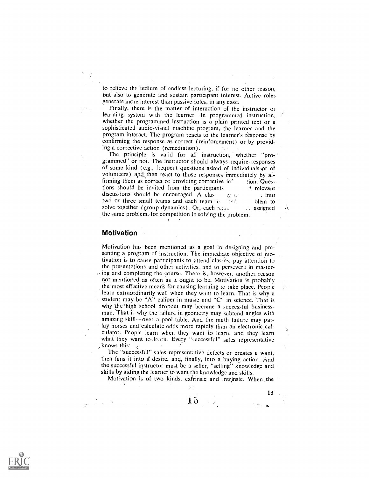to relieve the tedium of endless lecturing, if for no other reason, but also to generate and sustain participant interest. Active roles generate more interest than passive roles, in any case.

Finally, there is the matter of interaction of the instructor or learning system with the learner. In programmed instruction, whether the programmed instruction is a plain printed text or a sophisticated audio-visual machine program, the learner and the program interact. The program reacts to the learner's response by confirming the response as correct (reinforcement) or by providing a corrective action (remediation).  $\lambda_{\rm{max}}$ 

The principle is valid for all instruction, whether "programmed" or not. The instructor should always require responses of some kind ( e.g., frequent questions asked.of individuals-or of volunteers) and then react to those responses immediately by affirming them as dorrect or providing corrective inf lion. Questions should be invited from the participants and relevant discussions should be encouraged. A class into into  $\frac{1}{2}$  into  $\frac{1}{2}$  into  $\frac{1}{2}$  into  $\frac{1}{2}$  into  $\frac{1}{2}$  into  $\frac{1}{2}$  into  $\frac{1}{2}$  into  $\frac{1}{2}$  into  $\frac{1}{2}$  into  $\frac{1}{2}$  into  $\frac{1}{2}$  into  $\frac{$ two or three small teams and each team  $\frac{1}{4}$  blem to solve together (group dynamics). Or, each team ti blem to solve together (group dynamics). Or, each team \_the same problem, for competition in solving the problem.

#### Motivation

MOtivation has been mentioned as a goal in designing and presenting a program of instruction. The immediate objective of motivation is to cause participants to attend classes, pay attention to thc presentations and other activities, and to persevere in master- , ing and completing the cdurse. There is, however, another, reason not mentioned as often as it ought to be. Motivation is probably the most effective means for causing learning to take place. People learn extraordinarily well when they want to learn. That is why a student may be "A" caliber in music and "C" in science. That is why the high school dropout may become a successful businessman. That is why the failure in geometry may subtend angles with amazing skill-over a pool table. And the math failure may parlay horses and calculate odds more rapidly than an electronic calculator. People learn when they want to learn, and they learn what they want to-learn. Every "successful" sales representative knows this:  $\epsilon$ 

The "successful" sales representative detects or creates a want, then fans it into a desire, and, finally, into a buying action. And the successful instructor must be a seller, "selling" knowledge and skills by aiding the learner to want the knowledge and skills.

Motivation is of two kinds, extrinsic and intrinsic. When ,the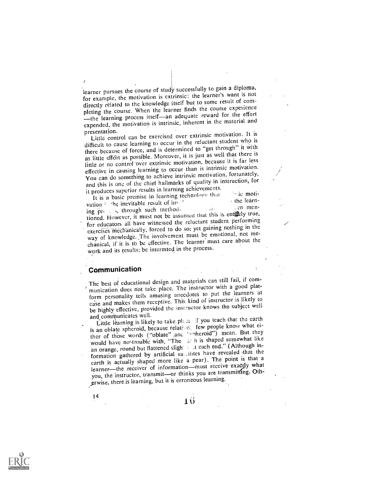learner pursues the course of study successfully to gain a diploma, for example, the motivation is extrinsic: the learner's want is not directly related to the knowledge itself but to some result of completing the course. When the learner finds the course experience the learning process itself-an adequate reward for the effort expended, the motivation is intrinsic, inherent in the material and presentation.

Little control can be exercised over extrinsic motivation. It is difficult to cause learning to occur in the reluctant student who is there because of force, and is determined to "get through' it with as little effort as possible. Moreover, it is just as well that there is little or no control over extrinsic motivation, because it is far less effective in causing learning to occur than is intrinsic motivation. You can do something to achieve intrinsic motivation, fortunately, and this is one of the chief hallmarks of quality in instruction, for it produces superior results in learning achievements.

It is a basic premise in learning technology that  $\frac{1}{2}$  the learnvation he inevitable result of  $inv^{st}$  the learn-<br>ing press, through such methods  $v^{st}$ vation ing press, through such methods and this is entirely true. tioned. However, it must not be assumed that this is entirely true, for educators all have witnessed the reluctant student performing exercises mechanically, forced to do so; yet gaining nothing in the way of knowledge. The involvement must be emotional, not mechanical, if it is to bc effective. The learner must care about the work and its results; be interested in the process.

### Communication

The best of educational design and materials can still fail, if communication does not take place. The instructor with a good platform personality tells amusing anecdotes to put the learners at ease and makes them receptive. This kind of instructor is likely to be highly effective, provided the instructor knows the subject well and communicates well.

and communicates well.<br>Little learning is likely to take place. if you teach that the earth is an oblate spheroid, because relatinein few people know what either of those words ("oblate" and  $\pi$ -heroid") mean. But they there of those words ("oblate" and  $\pi$ -heroid") mean. But they would have no trouble with, "The  $\epsilon$  h is shaped somewhat like an orange, round but flattened slight and each end." (Although information gathered by artificial satulities have revealed that the earth is actually shaped more like a pear). The point is that a learner-the receiver of information-must receive exactly what you, the instructor, transmit-or thinks you are transmitting. Oth-,prwise, there.is learning, but it is erroneous learning.

14

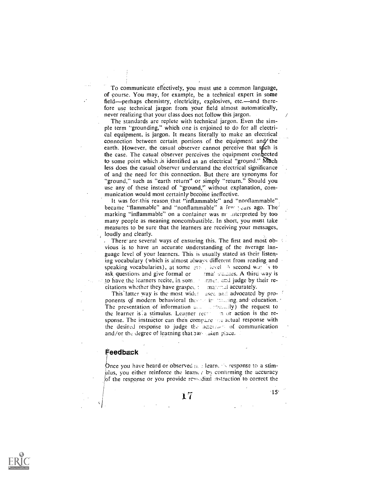To communicate effectively, you must use a common language, of course. You may, for example, be a technical expert in some field-perhaps chemistry, electricity, explosives, etc.-and therefore use technical jargon from your field almost automatically, never realizing that your class does not follow this jargon.

The standards are replete with technical jargon. Even the simple term "grounding," which one is enjoined to do for all electrical equipment, is jargon. It means literally to make an electrical connection between certain portions of the equipment and/ the earth. However, the casual observer cannot perceive that spich is the case. The casual observer perceives the equipment confected to some point which is identified as an electrical "ground." Much less does the casual observer understand the electrical significance of and the need for this connection. But there are synonyms for "ground," such as "earth return" or simply "return." Should you use any of these instead of "ground," without explanation, communication would most certainly become ineffective.

It Was for this reason, that "inflammable" and "nonflammable" became "flammable" and "nonflammable" a few years ago. The marking "inflammable" on a container was meanterpreted by too many people as meaning noncombustible. In short, you must take measures to be sure that the learners are receiving your messages, loudly and clearly.

There are several ways of ensuring this. The first and most obvious is to have an accurate understanding of the average language level of your learners. This is usually stated as their listening vocabulary (whiCh is almost always different from reading and speaking vocabularies), at some group level A second way is to ask questions and give formal or  $\mathbb{R}^n$  rmal spaces. A third way is to have the learners recite, in som a stationaries and judge by their recitations whether they have grasped  $t$  and contained accurately.

This latter way is the most widel used and advocated by proponents of modern behavioral theoret in traditing and education. The presentation of information  $a_{n+1}$  are request to the request to the learner is a stimulus. Learner recry in or action is the response. The instructor can then compare the actual response with the desired response to judge the accuracy of communication and/or the degree of-learning that ras-saken place.

#### Feedback

-I I

Once you have heard or observed  $\mu$ ,  $\mu$  learn,  $\lambda$  response to a stimulus, you either reinforce the leame  $\tau$  by confirming the accuracy of the response or you provide  $\epsilon$  redial instruction to correct the

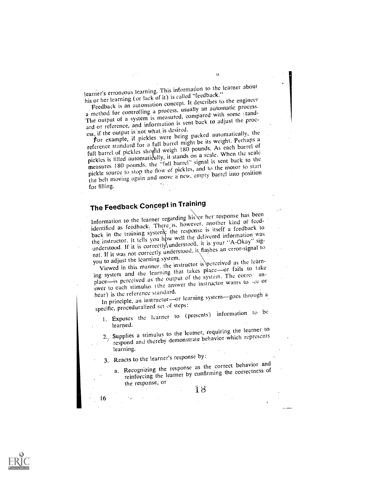learner's erroneous learning. This information to the learner about his or her learning (or lack of it) is called "feedback."

 $\triangle$ 

Feedback is an automation concept. It describes to the engineer a method for controlling a process, usually an automatic process. The output of a system is measured, compared with some standard or reference, and information is sent back to adjust the process, if the output is not what is desired.

tor example, if pickles were being packed automatically, the reference standard for a full barrel might be its weight. Perhaps a full barrel of pickles should weigh 180 pounds. As each barrel of pickles is filled automatically, it stands on a scale. When the scale measures 180 pounds, the "full barrel" signal is sent back to the pickle source to stop the flow of pickles, and to the motor to start the belt moving again and move a'new, empty barrel into position for filling.

## The Feedback Concept in Training

Information to the learner regarding his or her response has been identified as feedback. There is, however, another kind of feedback in the training system, the response is itself a feedback to the instructor. It tells you how well the delivered information was understood. If it is correctly, understood, it is your "A-Okay" sigunderstood. If it is correctly understood, it flashes an error-signal to<br>nal. If it was not correctly understood, it flashes an error-signal to  $\frac{1}{2}$ . If it was not correctly understood, it has the line of the learning system.

you to adjust the learning system.<br>Viewed in this manner, the instructor is perceived as the learning system and the learning that takes place-or fails to take place-is perceived as the output of the system. The correc anplace—is perceived as the output of the system.<br>swer to each stimulus (the answer the instructor wants to see or

hear) is the reference standard.<br>In principle, an instructor-or learning system-goes through a specific, proceduralized set of steps:

I. Exposes the learner to (presents) information to be

learned.<br>2. Supplies a stimulus to the learner, requiring the learner to<br>2. Supplies a stimulus to the learner, requiring the learner to respond and thereby demonstrate behavior which represents learning,

3. Reacts to the learner's response by:

16

a. Recognizing the response as the correct behavior and reinforcing the learner by confirming the correctness of the response, or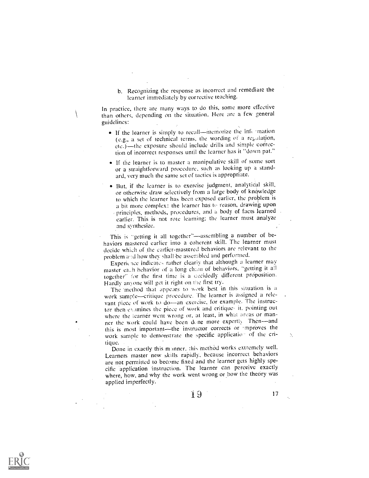b. Recognizing the response as incorrect and remediate the learner immediately by corrective teaching.

In practice, there are many ways to do this, some more effective than others, depending on the situation. Here are a few general guidelines:

- $\bullet$  If the learner is simply to recall---memorize the information (e.g., a set of technical terms, the wording of a regulation, etc.)-the exposure should include drills and simple correction of incorrect responses until the learner has it "down pat."
- If the learner is to master a manipulative skill of some sort or a straightforward procedure, such as looking up a standard, very much the same set of tactics is appropriate.
- But, if the learner is to exercise judgment, analytical skill, or otherwise draw selectively from a large body of knowledge to which the learner has been exposed earlier, the problem is a bit more complex: the learner has to reason, drawing upon principles, methods, procedures, and a body of facts learned earlier. This is not rote learning; the learner must analyze and synthesize.

This is "getting it all together"-assembling a number of behaviors mastered earlier into a coherent skill. The learner must decide which of the earlier-mastered behaviors are relevant to the problem and how they shall be assembled and performed.

Experience indicates rather clearly that although a learner may master each behavior of a long chain of behaviors, "getting it all together" for the first time is a occidedly different proposition. Hardly anyone will get it right on the first try.

The 'method that appears to work best in this siwation is a work sample-critique procedure. The learner is assigned a relevant piece of work to do-an exercise, for example. The instructor then examines the piece of work and critiques it, pointing out where the learner went wrong or, at least, in what areas or manner the work could have been done more expertly. Then-and this is most important—the instructor corrects or 'mproves the specific application of the criwork sample to demonstrate the specific application of the critique.

Done in exactly this manner, this method works extremely well. Learners master new skills rapidly, because incorrect behaviors are not permitted to become fixed and the learner gets highly specific application instruction. The learner can perceive exactly where, how, and why the work went wrong or how the theory was applied imperfectly.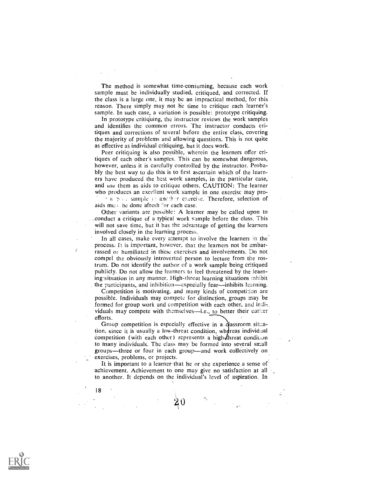The method is somewhat time-consuming, because each work sample must be individually studied, critiqued, and corrected. If the class is a large one, it may be an impractical method, for this reason. There simply may not be time to critique each learner's sample. In such case, a variation is possible: prototype critiquing.

In prototype critiq'uing, the instructor reviews the work samples and identifies the common errors. The instructor conducts critiques and'corrections of several before the entire class, covering the majority of problems and allowing questions. This is not quite as effective as individual critiquing, but it does work.

Peer critiquing is also possible, wherein the learners offer critiques of each other's samples. This can be somewhat dangerous, however, unless it is carefully controlled by the instructor. Probably the best way to do this is to first ascertain which of the learners have produced the best work samples, in the particular case, and use them as aids to critique others. CAUTION: The learner who produces an excellent work sample in one exercisc may pro-  $\alpha$  is  $\alpha$  is sample in another exercise. Therefore, selection of aids must be done afresh for each case.

Other variants are possible: A learner may be called upon to conduct a critique of a typical work sample before the class. This will not save time, but it has the advantage of getting the learners involved closely in the learning process.

In all cases, make every attempt to involve the learners in the process. It is important, however, that the learners not be embarrassed or humiliated in these exercises and involvements. Do not compel the obviously introverted person to lecture from the rostrum. Do not identify the author of a work sample being critiqued publicly. Do not allow the learners to feel threatened by the learning-situation in any manner. High-threat learning situations inhibit the participants, and inhibition-especially fear-inhibits learning.

Competition is motivating, and many kinds of competition are possible. Individuals may compete for distinction, groups may be formed for group work and competition with each other, and individuals may compete with themselves-i.e., to better their earlier efforts.

Group competition is especially effective in a classroom situation, since it is usually a low-threat condition, whereas individual competition (with each other) represents a high-threat condition to inany individuals. The class may be formed into several small groups—three or four in each group—and work collectively on exercises, problems, or projects.

It is important to a learner that he or she experience a sense of' achievement. Achievement to one may give no satisfaction at all to another. It depends on the individual's level of aspiration. In

18

ł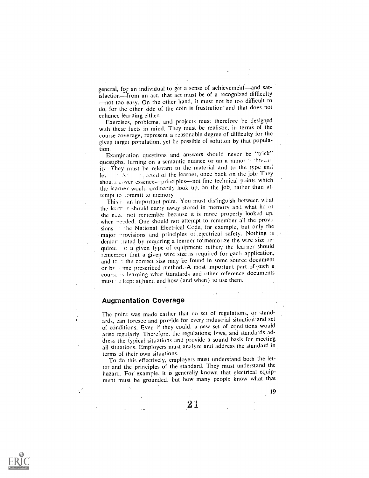general, for an individual to get a sense of achievement-and satisfaction-from an act, that act must be of a recognized difficulty not too easy. On the other hand, it must not be too difficult to do, for the other side of the coin is frustration and that does not

enhance learning either. Exercises, problems, and projects must therefore be designed with these facts in mind. They must be realistic, in terms of the course coverage, represent a reasonable degree of difficulty for the given target population, yet be possible of solution by that popula, tion.

Examination questions and answers should never be "trick" questighs, turning on a semantic nuance or on a minor to this car ity They must be relevant to the material and to the type and ley  $\mathbb{R}^n$  , exted of the learner, once back on the job. They shou... cover essence-principles-not fine technical points which the learnes would ordinarily look up, on the job, rather than attempt to :ommit to memory.

This is an important point. You must distinguish between what the learner should carry away stored in memory and what he or she need not remember because it is more properly looked up, when needed. One should not attempt to remember all the provisions the National Electrical Code, for example, but only the major -rovisions and principles of electrical safety. Nothing is demor :rated by requiring a learner to memorize the wire size requirec. In a given type of equipment; rather; the learner should remember that a given wire size is required for each application, and test the correct size may be found in some source document or by , yme prescribed method.: A most important part of such a course is learning what standards and other reference documents must  $\rightarrow$  kept at hand and how (and when) to use them.

#### Augmentation Coverage

The point was made earlier that no set of regulations, or standards, can foresee and provide for every industrial situation and set of cOnditions. Even if they could, a new set of conditions would arise regularly. Therefore, the regulations; laws, and standards address the typical situations and provide a sound basis for meeting all situations. Employers must analyze and address the standard in terms of their own situations.

To do this effectively, employers must understand both the letter and the principles of the standard. They must understand the hazard. For example, it is generally known that electrical equipment must be grounded, but how many people know what that

 $21\,$ 

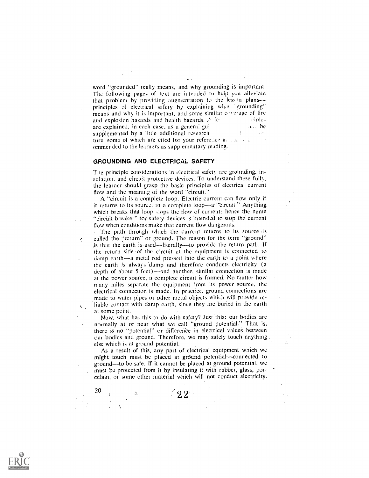word "grounded" really means, and why grounding is important. The following pages of text are intended to help you alleviate that problem by providing augmentation to thc lesson plans principles of electrical safety by explaining what "grounding" means and why it is important, and some similar coverage of fire and explosion hazards and health hazards.  $\triangle$  for – cintes are explained, in each case, as a general guineer  $\mathbf{a}_0$ , be supplemented by a little additional research and the little and ture, some of which are cited for your reference and not all ommended to the learners as supplementary reading.

#### GROUNDING AND ELECTRICAL SAFETY

¢,

 $\zeta$ 

The principle considerations in electrical safety are grounding, insulation, and circuit protective devices. To understand these fully, the learner should grasp thc basic principles of electrical current flow and thc meaning of the word "circuit."

A "circuit is a complete loop. Electric current can flow only if it returns to its source, in a complete loop—a!"circuit." Anything which breaks that loop stops the flow of current: hence the name "circuit breaker" for safety devices is intended to stop the current flow when conditions make that-current flow dangerous.

The path through which the current returns to its source is called the "return" or ground. The reason for the term "ground" is that the earth is used-literally-to provide the return path. If the return side .of the circuit at\_the equipment is connected to damp earth—a metal rod pressed into the earth to a point where the earth is always damp and therefore conducts electricity (a depth of about 5 feet)—and another, similar connection is made at the power source, a complete circuit is formed. No matter how many miles separate the equipment from its power source, the electrical connection is made. In practice, ground connections are made to water pipes or other metal objects which will provide reliable contact with damp earth, since they are buried in the earth at some point.

Now, what has this to do with safety? Just this: our bodies are normally at or near what we call "ground potential." That is, there is no "potential" or diffcreifce in electrical values between our bodies and ground. Therefore, we may safely touch anything . else which is at ground potential.

As a result of this, any part of electrical equipment which we might touch must be placed at ground potential-connected to ground—to be safe. If it cannot be placed at ground potential, we must be protected from it by insulating it with rubber, glass, porcelain, or some other material which will not conduct electricity.

 $\leq 22$ 

 $2.11$ 

 $\mathbf{1}$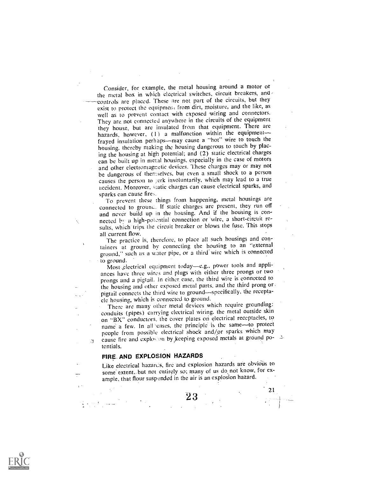Consider, for example, the metal housing around a motor or the metal box in which electrical switches, circuit breakers, and controls are placed. These are not part of the circuits, but they exist to protect the equipment from dirt, moisture, and the like, as well as to prevent contact with exposed wiring and connectors. They are not connected anywhere in the circuits of the equipment they house, but are insulated from that equipment. There arc hazards, however,  $(1)$  a malfunction within the equipmentfrayed insulation perhaps-may cause a "hot" wire to touch the housing, thereby makiag the housing dangerous to touch by placing the housing at high potential; and (2) static electrical charges can be built up in metal housings, especially in the case of motors and other electromagnetic devices. These charges may or may not be dangerous of themselves, but even a small shock to a person causes the person to gerk involuntarily, which may lead to a true accident. Moreover, static charges can cause electrical sparks, and

sparks can cause fires. To prevent these things from happening, metal housings are connected to ground. If static charges are present, they run off and never build up in the housing. And if the housing is connected bv a high-potcntial connection or 'wire, a short-circuit results, which trips the circuit breaker or blows the fuse. This stops all current flow.

The practice is, therefore, to place all such housings and containers at ground by connecting the housing to an "external ground," such as a water pipe, or a third wire which is connected

to ground.<br>Most ,electrical equipment today-e.g., power tools and appliances have three wires and plugs with either three prongs or two prongs and a pigtail. In either case, the third wire is connected to the housing and other exposed metal parts, and the third prong or pigtail connects the third wire to ground-specifically, the receptacle housing, which is connected to ground.

There are many other metal devices which require grounding: conduits (pipes) carrying electrical wiring, the metal outside skin on "BX" conductors, the cover plates on electrical receptacles, to name a few. In all cases, the principle is the same-to protect people from possible electrical shock and/or sparks which may cause fire and explosion by keeping exposed metals at ground potentials.

## FIRE AND EXPLOSION HAZARDS

Like electrical hazarcis, fire and explosion hazards are obvious to some extent, but not entirely so; many of us do, not know, for example, that flour suspended in the air is an explosion hazard.

2 3

 $\begin{bmatrix} 21 \\ 1 \end{bmatrix}$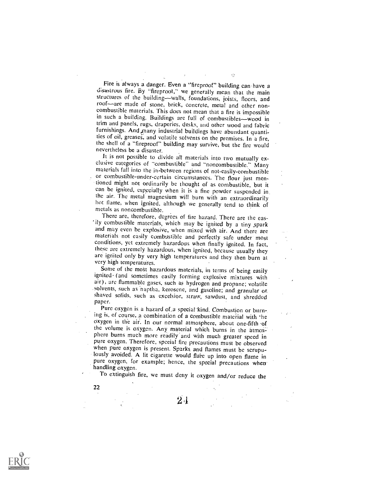Fire is always a danger. Even a "fireproof" building can have a disastrous fire. By "fireproot," we generally mean that the main structures of the building--walls, foundations, joists, floors, and roof-are made of stone, brick, concrete, metal and other noncombustible materials. This does not mean that a fire is impossible in such a building. Buildings are full of combustibles-wood in trim and panels, rugs, draperies, desks, and other wood and fabric furnishings. And many industrial buildings have abundant quantities of oil, greases, and volatile solvents on the premises. In a fire, the shell of a "fireproof" building may survive, but the fire would nevertheless be a disaster.<br>It is not possible to divide all materials into two mutually ex-

clusive categories of "combustible" and "noncombustible." Many<br>materials fall into the in-between regions of not-easily-combustible<br>or combustible-under-certain circumstances. The flour just men-<br>tioned might not ordinaril ean be ignited, especially when it is a fine powder suspended in the air. The metal magnesium will burn with an extraordinarily hot flame, when ignited, although we generally tend to think of metals as noncombustible.

There are, therefore, degrees of tire hazard. There are the easily combustible materials, which may be ignited by a tiny ,spark and may even be explosive, when mixed with air. And there are materials not easily combustible and perfectly safe under most conditions, yet extremely hazardous when finally ignited. In fact, these are extremely hazardous, when ignited, because usually they are ignited only by very high temperatures and they then burn at very high temperatures.

Some of the most hazardous materials, in terms of being easily ignited (and sometimes easily forming explosive mixtures with air), are flammable gases, such as hydrogen and propane; volatile solvents, such as haptha, kerosene, and gasoline; and granular or. shaved solids, such as excelsior, straw, sawdust, and shredded paper.

Pure oxygen is a hazard of a special kind. Combustion or burning is, of course, a combination of a combustible material with 'he Oxygen in the air. In our normal atmosphere, about one-fifth of the volume is oxygen. Any material which burns in the atmosphere burns much more readily' and with much greater speed in pure oxygen. Therefore, special fire precautions must be observed when pure oxygen is present. Sparks and flames must be scrupulously avoided. A lit cigarette would flare up into open flame in pure oxygen, for example; hence, the special precautions when handling oxygen.

To extinguish fire, we must deny it oxygen and/or reduce the

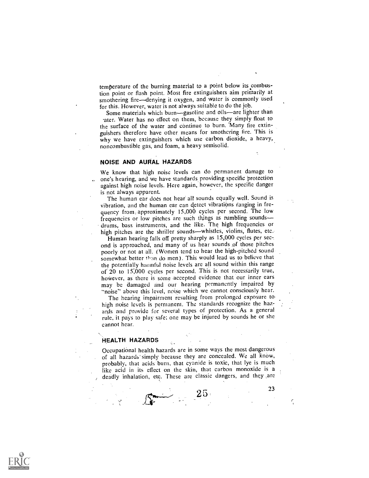temperature of the burning material to a point below its combus-<br>tion point or flash point. Most fire extinguishers aim primarily at smothering fire-denying it oxygen, and water is commonly used for this. However, water is not always suitable to du the job.

Some materials which burn-gasoline and oils-are lighter than .ater. Water has no effect on them, because they simply float to the surface of the water and continue to burn. 'Many fire extinguishers therefore have other means for smothering fire. This is why we have extinguishers which use carbon dioxide, a heavy, noncombustible gas, and foam, a heavy semisolid.

#### NOISE AND AURAL HAZARDS

We know that high noise levels can do permanent damage to one's hearing, and we have standards providing specific protection against high noise levels. Here again, however, the specific danger is not always apparent.

The human ear does not hear all sounds equally well. Sound is vibration, and the human car can detect vibrations ranging in frequency from: approximately 15,000 cycles per second. Thc low frequencies or low pitches are such things as rumbling sounds drums, bass instruments, and the like. The high frequencies or high pitches are the shriller sounds-whistles, violins, flutes, etc.

Human hearing falls off pretty sharply as 15,000 cycles per second is approached, and many of us hear sounds of those pitches poorly or not at all. (Women tend to hear the high-pitched sound somewhat better iban do men). This would lead us to believe that the potentially harmful noise levels are all sound within this range of 20 to 15;000 cycles per second. This is not necessarily true, hoWever, as there is some accepted evidence that our inner cars may be damaged and our hearing permanently impaired by "noise" above this level, noise which we cannot consciously hear.

The hearing impairment resulting from prolonged exposure to high noise levels is permanent. The standards recognize the hazards and provide for several types of protection. As a general rule, it pays to play safe; one may be injured by sounds he or she cannot hear.

#### 'HEALTH HAZARDS

Occupational health hazards are in some ways the most dangerous of all hazards simply because they are concealed. We all know, probably, that acids burn, that cyanide is toxic, that lye is much like acid in its effect on the skin, that carbon monoxide is a , deadly inhalation, etc. These are classic dangers, and they ,arc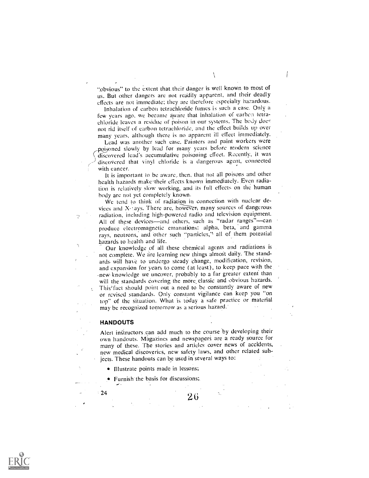"obvious" to the extent that.their danger is well known to most of us.. But other dangers are not readily apparent, and their deadly effects are not immediate; they are therefore especially hazardous.

Inhalation of carbon tetrachloride fumes is such a case. Only a few years ago, we became aware that inhalation of carbon tetrachloride leaves a residue of poison in our systems. The body does not rid itself of earbon tetrachloride, and the effect builds up over many years, although there is no apparent ill effect immediately.

Lead was another such case. Painters and paint workers Were poisoned slowly by lead for many years before modern science discovered lead's accumulative poisoning effect. Recently, it was discovered that vinyl chloride is a dangerous agent, connected with cancer.

It is important to be aware, then, that not all poisons and other health hazards make their effects known immediately. Even radiation is relatively slow working, and its full effects on the human body are not yet completely known.

We tend to think of radiation in connection with nuclear devices and  $X$ -tays. There are, however, many sources of dangerous radiation, including high-powered radio and television equipment. All of these devices-and others, such as "radar ranges"-can produce electromagnetic emanations: alpha, beta, and gamma rays, neutrons, and other such "particles," all of them potential hazards to health. and life.

Our knowledge of all these chemical agents and radiations is not complete. We are learning new things almost daily. The standards. will have to undergo steady change, modffication, revision, and expansion for years to come (at least), to keep pace with the -neW knowledge we uncover, probably to.a far greater extent than will the standards covering the more classic and obvious hazards. This'fact should point out a need to be constantly aware of new or revised standards. Only constant vigilance can keep you "on top" of the situation. What is today a safe practice or material may be recognized tomorrow as a serious hazard.'

#### HANDOUTS

Ń,

Alert instructors can add much to the course by developing their own handouts. Magazines and newspapers are a ready source for many of 'these. The stories and articles cover news of accidents, new medical discoveries, new safety laws, and other related subjects. These handouts can be used in several ways to:

Illustrate points made in lessons;

Furnish the basis for discussions;

 $2^{24}$  2 6

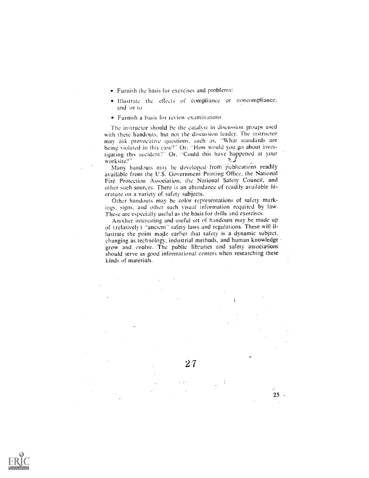- Furnish the basis for exercises and problems:
- Illustrate the effects of compliance or noncompliance: and:or to
- Furnish a basis for review examinations

The instructor should be the catalyst in discussion groups used with these handouts, but not the discussion leader. The instructor may ask provocative questions, such as, What standards are being violated in this case?" Or. "How would you go about investigating this accident?" Or, "Could this have happened at your worksite?" worksite?"

Many handouts may be developed-from publications readily available from the U.S. Government Printing 'Office, the National Fire Protection Association, the National Safety Council, and other such sources. There is an abundance of readily available literature on a variety of safety subjects.

Other handouts may be color representations of safety markings. signs, and other such visual information required by law. These are especially useful as the basis for drills and exercises.

Another interesting and useful set of handouts may' he made up of (relatively) "ancient" safety laws and regulations. These will illustrate the point made earler that safety is a dynamic subject, changing as technology, industrial methods, and human knowledge grow and evolve. The public libraries and safety associations should serve as good informational centers when researching these kinds of materials.



25 -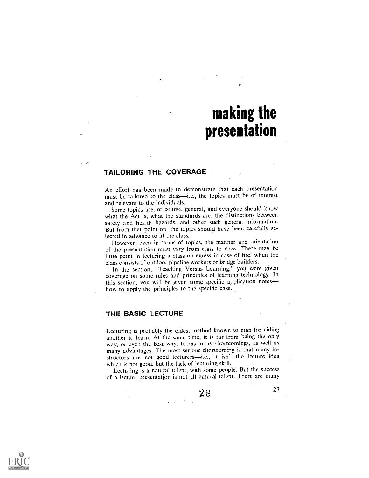# making the presentation

### TAILORING THE COVERAGE

An effort has been made to demonstrate that each presentation must be tailored to the class—i.e., the topics must be of interest and relevant to the individuals.

Some topics are, of course, general, and everyone should know what the Act is, what the standards are, the distinctions between safety and health hazards, and other such general information. But from that point on, the topics should have been carefully selected in advance to fit the class.

However, even in terms of topics, the manner and orientation of the presentation must vary from class to class. There may be littie point in lecturing a class on egress in ease of fire, when the class consists of outdoor pipeline workers or bridge builders.

In the section, "Teaching Versus Learning," you were given coverage on some rules and principles of learning technology. In this section, you will be given some specific application notes how to apply the principles to the specific case.

#### THE BASIC LECTURE

Lecturing is probably the oldest method known to man for aiding another to learn. At the same time, it is far from being the only way, or even the best Way. It has many shortcomings, as well as many advantages. The most serious shortcoming is that many instructors are not good lecturers--i.e., it isn't the lecture idea which is not good, but the lack of lecturing skill.

Lecturing is a natural talent, with some people. But the success of a lecture presentation is not all natural talent. There are many



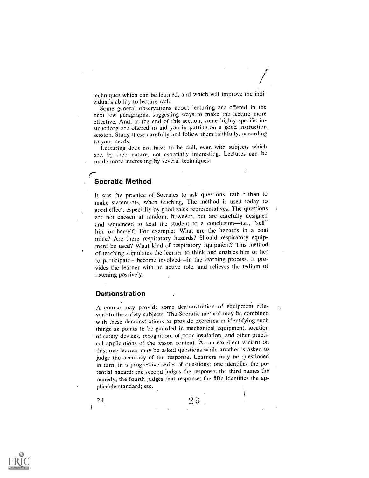techniques which can be learned, and which will improve the indi-

vidual's ability to lecture well. Some general observations about lecturing are offered in the next few paragraphs, suggesting ways to make the lecture more effective. And, at the end of this section, some highly specific instructions are offered to aid you in putting on a good instruction. session. Study these carefully and follow them faithfully, according

to your needs. Lecturing does not have to be dull, even with subjects which are. by their nature, not especially interesting. Lectures can be made more interesting by several techniques:

÷,

## Socratic Method

r-

It was the practice of Socrates to ask questions, rad: \_r than to make statements, when teaching, The method is used today to good effect. especially by good sales representatives. The questions are not chosen at random, however, but are carefully designed and sequenced to lead the student to a conclusion-i.e., "sell" him or herself! For example: What are the hazards in a coal mine? Are there respiratory hazards? Should respiratory equipment be used? What kind of respiratory equipment? This method of teaching stimulates the learner to think and enables him or her to participate-become involved-in the learning process. It provides the learner with an active role, and relieves the tedium of listening passively.

#### Demonstration

A course may provide some demonstration of equipment relevant-to the safety subjects. The Socratic method may be combined with these demonstrations to provide exercises in identifying such things as points to be 'guarded in mechanical equipment, location of safety devices, recognition, of poor insulation, and other practical applications of the lesson content. As an excellent variant on this, one learner may be asked questions while another is asked to judge the accuracy of the response. Learners may be questioned in turn, in a progressive series of questions: one identifies the potential hazard; the second judges the response; the third names the remedy; the fourth judges that response; the fifth identifies the applicable standard; etc.

28

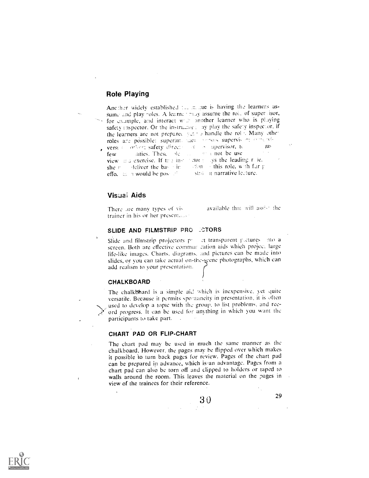## **Role Playing**

Another widely established the mangue is having the learners assume and play roles. A learne trialy assume the role of supervisor, for example, and interact with another learner who is playing safety inspector. Or the instructor: ay play the safety inspector, if the learners are not prepared  $y \neq z$  is handle the rol  $\cdot$ . Many other roles are possible; superint, daen contras supervisori comprehensively versi a contemp safety direction as a supervisor, to a unit versi < orber; safety directand not be use anties. These ble  $\sim$   $\sim$ few view malexercise. If the instructor rollys the leading role,  $\sim$  . Em  $\rightarrow$  this role, with far g deliver the base in she r stial in narrative lecture. effect in m would be posed.

#### Visuai Aids

ŀ,

available that will assist the There are many types of vistrainer in his or her presentance

#### SLIDE AND FILMSTRIP PRO **CTORS**

et transparent pictures into a Slide and filmstrip projectors priscreen. Both are effective commun cation aids which project large life-like images. Charts, diagrams, and pictures can be made into slides, or you can take actual on-the-scene photographs, which can add realism to your presentation.

#### **CHALKBOARD**

The chalkboard is a simple aid which is inexpensive, yet quite versatile. Because it permits spontaneity in presentation, it is often used to develop a topic with the group, to list problems, and record progress. It can be used for anything in which you want the participants to take part.

#### CHART PAD OR FLIP-CHART

The chart pad may be used in much the same manner as the chalkboard. However, the pages may be flipped over which makes it possible to turn back pages for review. Pages of the chart pad can be prepared in advance, which is an advantage. Pages from a chart pad can also be torn off and clipped to holders or taped to walls around the room. This leaves the material on the pages in view of the trainees for their reference.

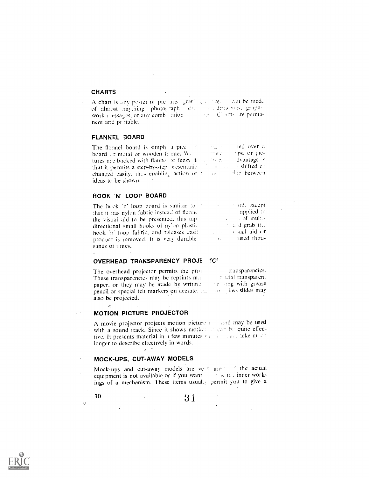#### **CHARTS**

A chart is any poster or pre- are  $\frac{1}{2}$  and  $\frac{1}{2}$  c  $\frac{1}{2}$  c  $\frac{1}{2}$  c  $\frac{1}{2}$  c  $\frac{1}{2}$  c  $\frac{1}{2}$  c  $\frac{1}{2}$  c  $\frac{1}{2}$  c  $\frac{1}{2}$  c  $\frac{1}{2}$  c  $\frac{1}{2}$  c  $\frac{1}{2}$  c  $\frac{1}{2}$  c  $\frac{1}{2}$  c  $\frac{1$ nent and pc rtable.

#### FLANNEL BOARD

The flamel board is simply a piec seguistic ned over a rips, or picboard or metal or wooden frame. We imtete i tures are backed with flannel or fuzzy flatter fish, and dvantage is  $\log_{10}$  and  $\log_{10}$  is shifted on that it permits a step-by-step presentational changed easily, thus enabling action or  $z = re^{-x}$  sup-between ideas to be shown.

#### HOOK 'N' LOOP BOARD

The hook 'n' loop board is similar to that it has nylon fabric instead of flame. the visual aid to be presented, this tap. directional small hooks of nylon plastic hook 'n' loop fabrie, and releases casiiproduct is removed. It is very durable sands of times.

 $\sim$   $\pi d$ , except applied to  $\sim$   $\sim$  of multi- $\cdots$   $\cdots$  and grab the  $\sim$  and aid or  $\sim 10^{-10}$ ased thou-

#### OVERHEAD TRANSPARENCY PROJE TO

transparencies. The overhead projector permits the proj. These transparencies may be reprints ma. mazial transparent paper, or they may be made by writing on the sing with grease pencil or special felt markers on acetate. it, so glass slides may also be projected.

#### **MOTION PICTURE PROJECTOR**

A movie projector projects motion picture a said may be used with a sound track. Since it shows motion, in each be quite effective. It presents material in a few minutes  $y \in \mathbb{R}$  and take  $m\omega^2$ . longer to describe effectively in words.

#### MOCK-UPS, CUT-AWAY MODELS

30

 $\alpha$  .  $\beta$ 

 $\Delta \sim 10^4$ 

Mock-ups and cut-away models are very use ... If the actual equipment is not available or if you want with a tast inner workings of a mechanism. These items usually permit you to give a

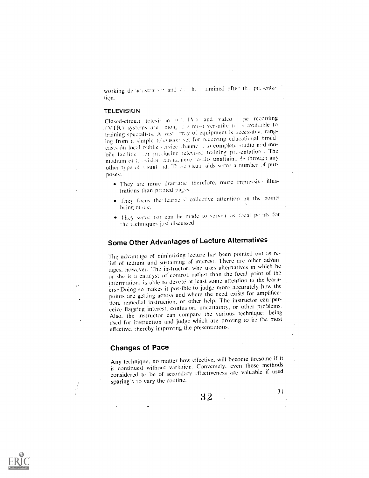working demonstration and call be clamined after the presentation.

#### **TELEVISION**

pe recording Closed-circuit televis in a CUTV) and video (VTR) systems are  $\text{mon}_{\pi}$  if a most versatile to  $\frac{1}{2}$  available to training specialists. A vast "ray of equipment is accessible, ranging from a simple television set for receiving educational broadeasts on local public vervice channe. . to complete studio and mobile facilitie for preducing televised training presentations. The medium of to evision can achieve results unattainable through any other type of visual aid. Thuse visual aids serve a number of purposes:

- · They are more dramatic; therefore, more impressive illustrations than printed pages.
- . They focus the learners' collective attention on the points being made,
- . They serve (or can be made to serve) as focal pc ats for the techniques just discussed.

## **Some Other Advantages of Lecture Alternatives**

The advantage of minimizing lecture has been pointed out as relief of tedium and sustaining of interest. There are other advantages, however. The instructor, who uses alternatives in which he or she is a catalyst or control, rather than the focal point of the information, is able to devote at least some attention to the learners. Doing so makes it possible to judge more accurately how the points are getting across and where the need exists for amplification, remedial instruction, or other help. The instructor can'perceive flagging interest, confusion, uncertainty, or other problems. Also, the instructor can compare the various techniques being used for instruction and judge which are proving to be the most effective, thereby improving the presentations.

## **Changes of Pace**

Any technique, no matter how effective, will become tiresome if it is continued without variation. Conversely, even those methods considered to be of secondary effectiveness are valuable if used sparing by to vary the routine.

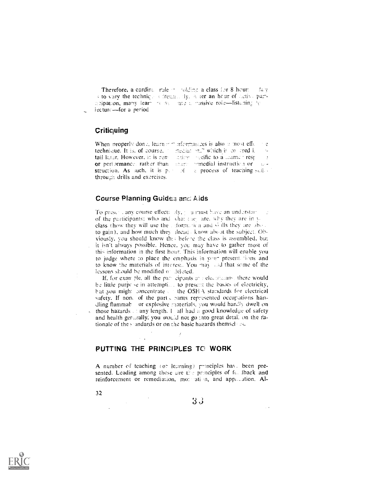Therefore, a cardinal rule in colding a class for 8 hour.  $24.3$ s to vary the technique sefrection dy. A ter an hour of detive paracipation, many learn resume a massive role-listening to lecture-for a period

### Criticuing

When properly done, learn  $r = r$  formatices is also a most effe- $\mathfrak{L}$ technique. It is, of course, mediation." which is collered i.  $\epsilon_{\rm m}$ tail later. However, it is remaction inveificato a learner resp. or performance, rather than shere winedial instruction or anstruction. As such, it is p. of the process of teaching suil. through drills and exercises.

### Course Planning Guides and Aids

To presciationy course effectionly, journust have an understant of the participants; who and what they are, why they are in yclass (how they will use the ciformation and  $\triangle$  ills they are above to gain), and how much they dreads know about the subject. Obviously, you should know this before the class is assembled, but it isn't always possible. Hence, you may have to gather most of this information in the first hour. This information will enable you to judge where to place the emphasis in your presentations and to know the materials of interest. You may and that some of the lessons should be modified of deleted.

If, for example, all the part cipants and electricans, there would be little purpese in attemption to present the basies of electricity, but you might concentrate the OSHA standards for electrical safety. If none of the part chants represented occupations handling flammab or explosive materials, you would hardly dwell on those hazards  $\therefore$  any length, I all had a good knowledge of safety and health generally, you would not go into great detail on the rationale of the standards or on the basic hazards themself as.

## PUTTING THE PRINCIPLES TO WORK

A number of teaching (or learning) principles have been presented. Leading among these are the principles of fell aback and reinforcement or remediation, more ation, and application. Al-

 $\sim$ 

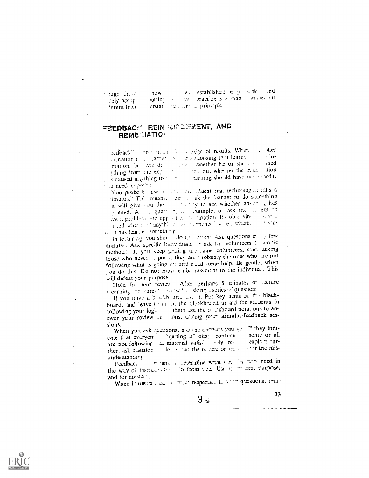the well-established as probable of end now.  $y$ ugh these the test into practice is a matter someow iat outting. lely accept  $\log$  from as principle. ferent from erstar

## FEEDBACK REIN FORCEMENT, AND **REMEDIATION**

eedback" importment. It is indge of results. When jobs offer ormation to a carnet over the exposing that learned to be inmation, but you do the amount whether he or she day is aned ything from the experiment of the control whether the interest ation a seamed anything to the comming should have harm ined). a need to probe.

You probe b use of the membership dechnologist calls a timulus." This means, seen to ask the learner to do something at will give you the community to see whether anywring has appened. As a quest a, in a sxample, or ask the hansent to We a problem-to apply the mormation. By observing hose year h tell where n hanything has respended believ whether  $\approx$  10  $\times$  10+ dent has learned something.

In lecturing, you should do the often: Ask questions every few minutes. Ask specific incividuals or ask for volunteers (excratic method). If you keep getting the same volunteers; start asking those who never respond; they are probably the ones who are not following what is going on and need some help. Be gentle, when cou do this. Do not cause embarrassment to the individual. This will defeat your purpose.

Hold frequent review. After perhaps 5 minutes of secture (learning an isures ), reveaw by asking a series of question.

If you have a blackbe ard, i.e. it. Put key aems on the blackboard, and leave them on the plackboard to aid the students in following your login. . . . them use the hinckboard notations to answer your review 40 tons, curing your stimulus-feedback sessions.

When you ask questions, use the anewers you get. If they indicate that everyon: in "getting it" okay continue. If some or all are not following the material satisfactorily, review explain further; ask question of ferret out the nature or reason of the misunderstanding

Feedback in a means or determine what your learners need in the way of instruction-code from you. Use it for must purpose, and for no ouer.

When Evariters reason currence responses to veer questions, rein-

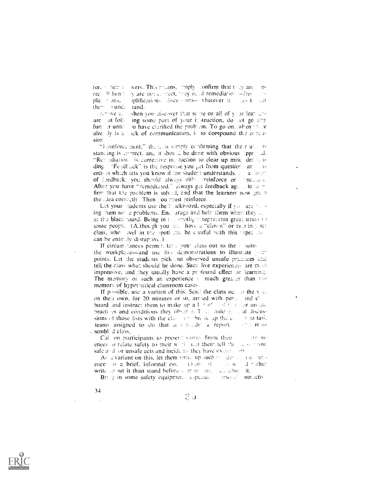fore their all wers. This means, limply confirm that they are  $T$ rec: When  $t = y$  are not correct, they need remediation  $=$ fres in, ne iplifications. liscu-sions-whatever it  $plane = 0.015$ ,  $\pm$  $-325$  L **Lut** ther  $\rightarrow$  und. tand.

Amive all when you discover that some or all of  $y$  in learners ing some part of your it struction, do not go any  $\arctan \theta$  of follfurt er until ou have clarified the problem. To go on, when there alre, by is a cack of communication, is to compound the concusion.

"Eleinforcement," then, is simply confirming that their unit rstanding is correct, and it should be done with obvious upprovide "Renediation is corrective in ruction to clear up mist der tunding "Fendbuck" is the response you get from question and a vercises which lets you know if the student understands. A calles an of feedback, you should always either reinforce or imelatere After you have "remediated," always get feedback age... to comfirm that the problem is solved, and that the learners now grain the rdea correctly. Then you must reinforce,

Let your students use the blackboard, especially if you are not ing them solve problems. Encloarage and help them when they ... at the black board. Being in the spotlight represents great stress to some people. (Although you are have a "clown" or two in your class, who well in the spott must be careful with this type; the can be entirely disruptive.)

If circumstances permit, take your class out to the lositethe workplace-and use live demonstrations to illustrate plant points. Let the students pick out observed unsafe practices armi tell the class what should be done. Such live experiences are most impressive, and they usually have a profound effect on learning. The memory of such an experience is much greater than the memory of hypothetical classroom cases.

If possible, use a variant of this. Send the class oc so the slow on their own, for 20 minutes or so, arrived with period and cliboard and instruct them to make up a lot of cold of corounsals practices and conditions they observe. These hold go and discussions of those lists with the class of the ik up the c. The to task, teams assigned to do that an unique a report- $\sim$  2.1  $\sigma$  assembled class.

Cal on participants to present stories from their  $(\Delta \Gamma \cap \Pi)$ ences o relate safety to their work, ust them tell the **TEAR PROJEC** safe and for unsafe acts and incidents they have experience.

As a variant on this, let them write up such in aller connections. ences as a brief, informal esse (Some ste **TACAN** id inather write an out it than stand before a group and all about it.

Brug in some safety equipment, especially arsocial protectiv-

おり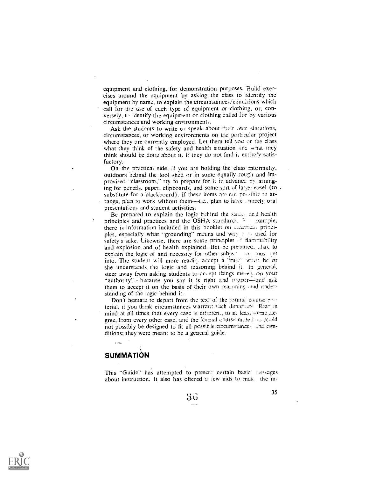equipment and clothing, for demonstration purposes. Build exercises around the equipment by asking the class to identify the equipment by name, to explain the circumstances/conditions which call for the use of each type of equipment or clothing, or, conversely, to identify the equipment or clothing called for by various circumstances and working environments.

Ask the students to write  $cr$  speak about their own situations, circumstances, or working environments on the particular project where they are currently employed. Let them tell you or the class, what they think of the safety and health situation and what they think should be done about it, if they do not find it entirely satisfactory.

On the practical side, if you are holding the class informally, outdoors behind the tool shed or in some equally rough and improvised "classroom." try to prepare for it in advance by arranging for pencils, paper, clipboards, and some sort of large casel (to  $\frac{1}{2}$ substitute for a blackboard). If these items are not pe-sible to arrange, plan to work without them-i.e., plan to have untirely oral presentations and student activities.

Be prepared to explain the logic behind the safast and health principles and practices and the OSHA standards. <sup>12</sup> axample, there is information included in this booklet on examing principles, especially what "grounding" means and why rest used for safety's sake. Likewise, there are some principles of flammability and explosion and of health explained. But be premared. .also, to explain the logic of and necessity for other subje, ...  $\omega_L$  , aus. ::et into. -The student will more readily accept a "rule" when he or she understands the logic and reasoning behind it. In general, steer away from asking students to accept things merely on your "authority"-because you say it is right and proper-and ask them to accept it on the basis of their own reasoning and understanding of the iogic behind it.

Don't hesitate to depart from the tex: of the formal counsements terial, if you think circumstances warrant such departiant. Bear in mind at all times that every case is different, to at leas. wome diegree, from every other case, and the formal course materical could not possibly be designed to fit all possible circumstances and comditions; they were meant to be a general guide.

## **SUMMATION**

This "Guide" has attempted to prescr.:: certain basic messages about instruction. It also has offered a lew aids to make the in-

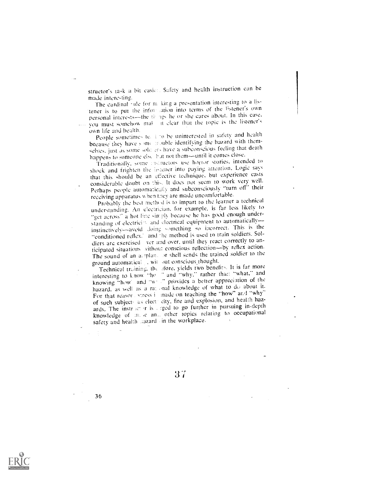structor's task a bit easier. Safety and health instruction can be made interesting.

The cardinal rule for m king a presentation interesting to a listener is to put the information into terms of the listener's own personal interests-the times he or she cares about. In this case, you must somehow mal- it clear that the topic is the listener's own life and health.

People sometimes te. 1 to be uninterested in safety and health because they have some mouble identifying the hazard with themselves, just as some sold ers have a subconscious feeling that death happens to someone else hut not them-until it comes close.

Traditionally, some instructors use horror stories, intended to shock and frighten the listener into paying attention. Logic says that this should be an effective technique, but experience casts considerable doubt on this. It does not seem to work very well. Perhaps people automatically and subconsciously "turn off" their receiving apparatus when they are made uncomfortable.

Probably the best method is to impart to the learner a technical understanding. An electrician, for example, is far less likely to "get across" a hot line simply because he has good enough understanding of electricity and electrical equipment to automaticallyinstinctively-avoid doing something so incorrect. This is the "conditioned reflex." and the method is used to train soldiers. Soldiers are exercised ver and over, until they react correctly to anticipated situations vithou: conscious reflection-by reflex action. The sound of an arrplan, or shell sends the trained soldier to the ground automatical without conscious thought.

Technical training, the afore, yields two benefits. It is far more interesting to know "he" and "why," rather than "what," and knowing "how and "we " provides a better appreciation of the hazard, as well as a rational knowledge of what to do about it. For that reason, stress is made on teaching the "how" and "why" of such subjects as elects city, fire and explosion, and health hazards. The instructor is a rged to go further in pursuing in-depth knowledge of more and other topics relating to occupational safety and health hazard (in the workplace,

 $37$